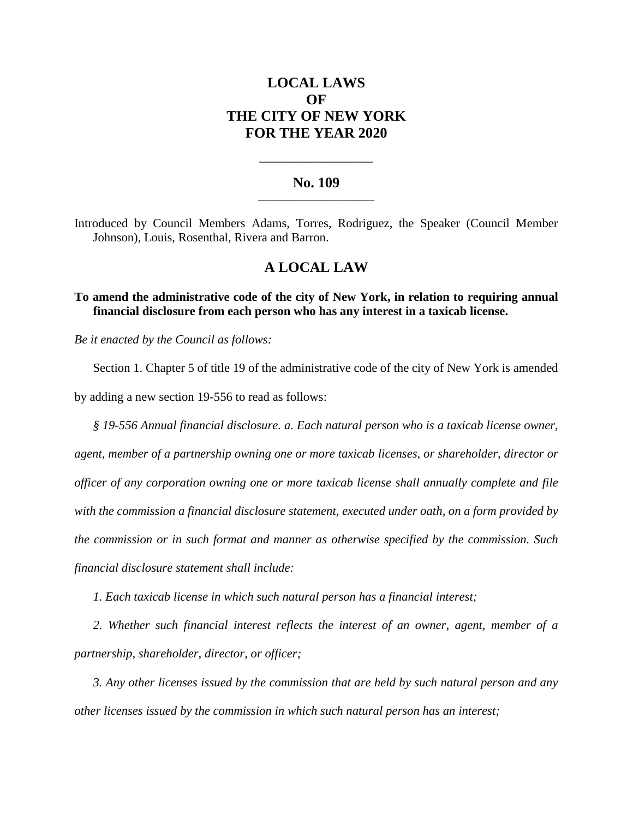# **LOCAL LAWS OF THE CITY OF NEW YORK FOR THE YEAR 2020**

### **No. 109 \_\_\_\_\_\_\_\_\_\_\_\_\_\_\_\_\_\_\_\_\_\_\_\_\_**

**\_\_\_\_\_\_\_\_\_\_\_\_\_\_\_\_\_\_\_\_\_\_**

Introduced by Council Members Adams, Torres, Rodriguez, the Speaker (Council Member Johnson), Louis, Rosenthal, Rivera and Barron.

## **A LOCAL LAW**

**To amend the administrative code of the city of New York, in relation to requiring annual financial disclosure from each person who has any interest in a taxicab license.**

*Be it enacted by the Council as follows:*

Section 1. Chapter 5 of title 19 of the administrative code of the city of New York is amended by adding a new section 19-556 to read as follows:

*§ 19-556 Annual financial disclosure. a. Each natural person who is a taxicab license owner, agent, member of a partnership owning one or more taxicab licenses, or shareholder, director or officer of any corporation owning one or more taxicab license shall annually complete and file with the commission a financial disclosure statement, executed under oath, on a form provided by the commission or in such format and manner as otherwise specified by the commission. Such financial disclosure statement shall include:*

*1. Each taxicab license in which such natural person has a financial interest;*

*2. Whether such financial interest reflects the interest of an owner, agent, member of a partnership, shareholder, director, or officer;*

*3. Any other licenses issued by the commission that are held by such natural person and any other licenses issued by the commission in which such natural person has an interest;*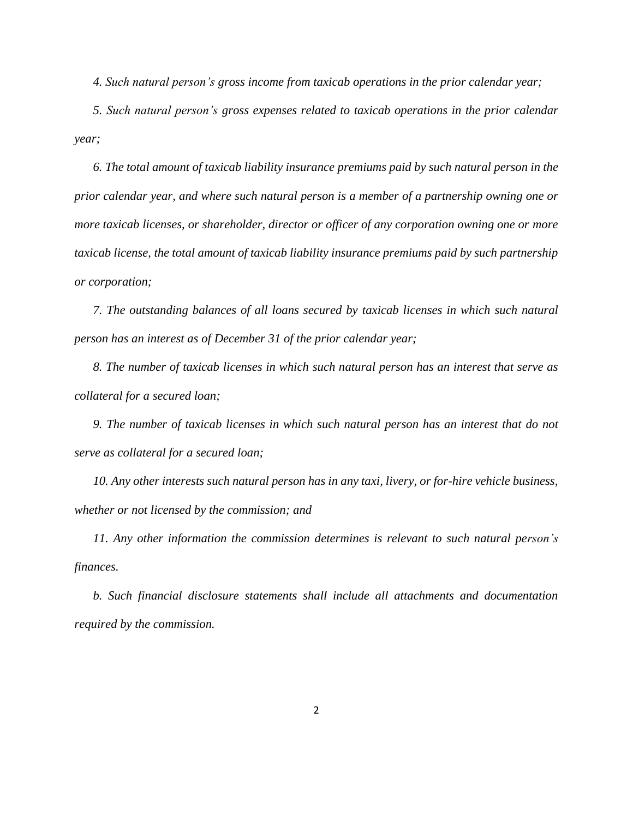*4. Such natural person's gross income from taxicab operations in the prior calendar year;*

*5. Such natural person's gross expenses related to taxicab operations in the prior calendar year;*

*6. The total amount of taxicab liability insurance premiums paid by such natural person in the prior calendar year, and where such natural person is a member of a partnership owning one or more taxicab licenses, or shareholder, director or officer of any corporation owning one or more taxicab license, the total amount of taxicab liability insurance premiums paid by such partnership or corporation;*

*7. The outstanding balances of all loans secured by taxicab licenses in which such natural person has an interest as of December 31 of the prior calendar year;*

*8. The number of taxicab licenses in which such natural person has an interest that serve as collateral for a secured loan;*

*9. The number of taxicab licenses in which such natural person has an interest that do not serve as collateral for a secured loan;*

*10. Any other interests such natural person has in any taxi, livery, or for-hire vehicle business, whether or not licensed by the commission; and*

*11. Any other information the commission determines is relevant to such natural person's finances.*

*b. Such financial disclosure statements shall include all attachments and documentation required by the commission.*

2